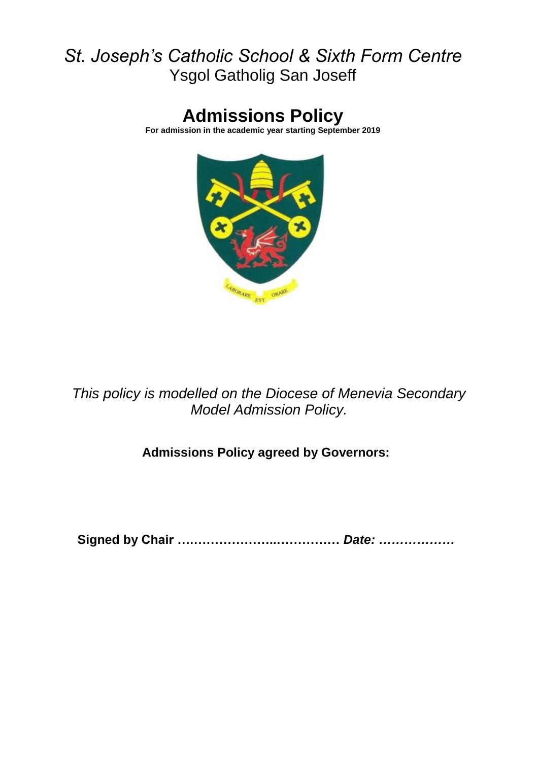## *St. Joseph's Catholic School & Sixth Form Centre* Ysgol Gatholig San Joseff

# **Admissions Policy**

**For admission in the academic year starting September 2019**



*This policy is modelled on the Diocese of Menevia Secondary Model Admission Policy.*

**Admissions Policy agreed by Governors:**

**Signed by Chair ….………………..……………** *Date: ………………*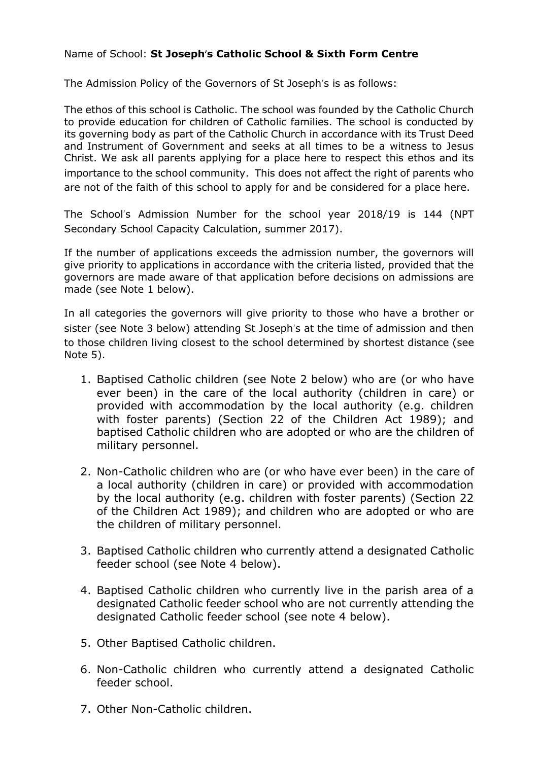## Name of School: **St Joseph**'**s Catholic School & Sixth Form Centre**

The Admission Policy of the Governors of St Joseph's is as follows:

The ethos of this school is Catholic. The school was founded by the Catholic Church to provide education for children of Catholic families. The school is conducted by its governing body as part of the Catholic Church in accordance with its Trust Deed and Instrument of Government and seeks at all times to be a witness to Jesus Christ. We ask all parents applying for a place here to respect this ethos and its importance to the school community. This does not affect the right of parents who are not of the faith of this school to apply for and be considered for a place here.

The School's Admission Number for the school year 2018/19 is 144 (NPT Secondary School Capacity Calculation, summer 2017).

If the number of applications exceeds the admission number, the governors will give priority to applications in accordance with the criteria listed, provided that the governors are made aware of that application before decisions on admissions are made (see Note 1 below).

In all categories the governors will give priority to those who have a brother or sister (see Note 3 below) attending St Joseph's at the time of admission and then to those children living closest to the school determined by shortest distance (see Note 5).

- 1. Baptised Catholic children (see Note 2 below) who are (or who have ever been) in the care of the local authority (children in care) or provided with accommodation by the local authority (e.g. children with foster parents) (Section 22 of the Children Act 1989); and baptised Catholic children who are adopted or who are the children of military personnel.
- 2. Non-Catholic children who are (or who have ever been) in the care of a local authority (children in care) or provided with accommodation by the local authority (e.g. children with foster parents) (Section 22 of the Children Act 1989); and children who are adopted or who are the children of military personnel.
- 3. Baptised Catholic children who currently attend a designated Catholic feeder school (see Note 4 below).
- 4. Baptised Catholic children who currently live in the parish area of a designated Catholic feeder school who are not currently attending the designated Catholic feeder school (see note 4 below).
- 5. Other Baptised Catholic children.
- 6. Non-Catholic children who currently attend a designated Catholic feeder school.
- 7. Other Non-Catholic children.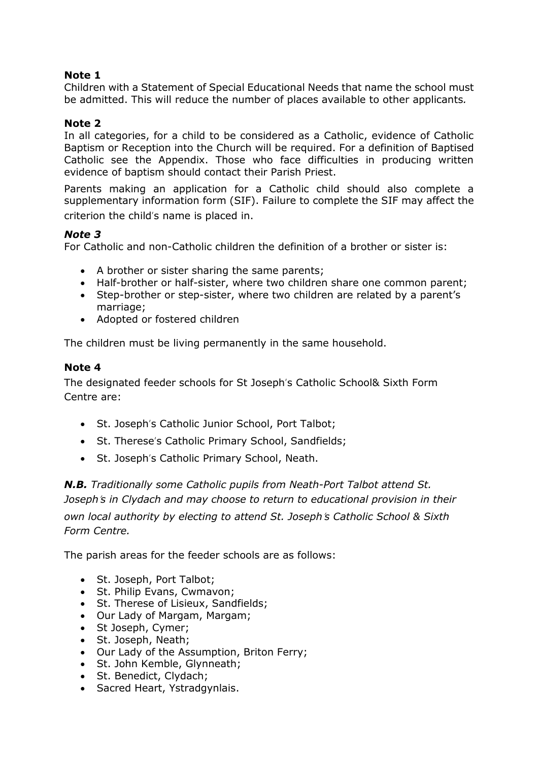## **Note 1**

Children with a Statement of Special Educational Needs that name the school must be admitted. This will reduce the number of places available to other applicants*.*

## **Note 2**

In all categories, for a child to be considered as a Catholic, evidence of Catholic Baptism or Reception into the Church will be required. For a definition of Baptised Catholic see the Appendix. Those who face difficulties in producing written evidence of baptism should contact their Parish Priest.

Parents making an application for a Catholic child should also complete a supplementary information form (SIF). Failure to complete the SIF may affect the criterion the child's name is placed in.

## *Note 3*

For Catholic and non-Catholic children the definition of a brother or sister is:

- A brother or sister sharing the same parents;
- Half-brother or half-sister, where two children share one common parent;
- Step-brother or step-sister, where two children are related by a parent's marriage;
- Adopted or fostered children

The children must be living permanently in the same household.

#### **Note 4**

The designated feeder schools for St Joseph's Catholic School& Sixth Form Centre are:

- St. Joseph's Catholic Junior School, Port Talbot;
- St. Therese's Catholic Primary School, Sandfields;
- St. Joseph's Catholic Primary School, Neath.

*N.B. Traditionally some Catholic pupils from Neath-Port Talbot attend St. Joseph*'*s in Clydach and may choose to return to educational provision in their own local authority by electing to attend St. Joseph*'*s Catholic School & Sixth Form Centre.* 

The parish areas for the feeder schools are as follows:

- St. Joseph, Port Talbot;
- St. Philip Evans, Cwmavon;
- St. Therese of Lisieux, Sandfields;
- Our Lady of Margam, Margam;
- St Joseph, Cymer;
- St. Joseph, Neath;
- Our Lady of the Assumption, Briton Ferry;
- St. John Kemble, Glynneath;
- St. Benedict, Clydach;
- Sacred Heart, Ystradgynlais.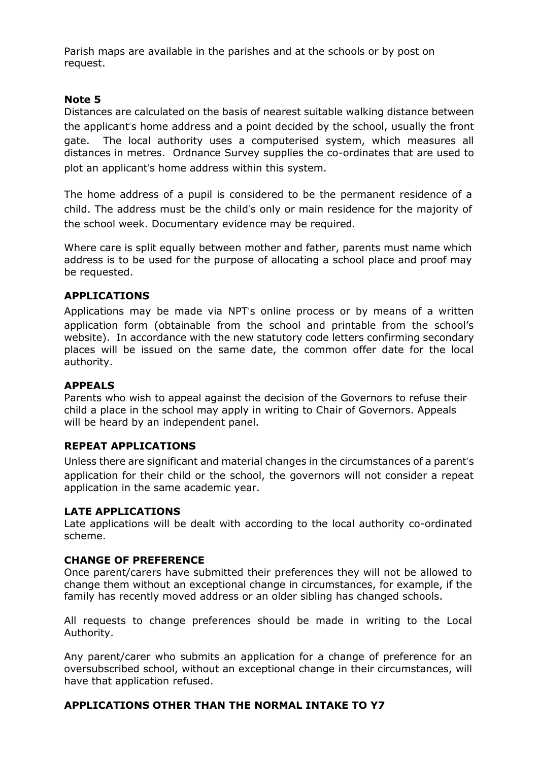Parish maps are available in the parishes and at the schools or by post on request.

## **Note 5**

Distances are calculated on the basis of nearest suitable walking distance between the applicant's home address and a point decided by the school, usually the front gate. The local authority uses a computerised system, which measures all distances in metres. Ordnance Survey supplies the co-ordinates that are used to plot an applicant's home address within this system.

The home address of a pupil is considered to be the permanent residence of a child. The address must be the child's only or main residence for the majority of the school week. Documentary evidence may be required*.*

Where care is split equally between mother and father, parents must name which address is to be used for the purpose of allocating a school place and proof may be requested.

#### **APPLICATIONS**

Applications may be made via NPT's online process or by means of a written application form (obtainable from the school and printable from the school's website). In accordance with the new statutory code letters confirming secondary places will be issued on the same date, the common offer date for the local authority.

#### **APPEALS**

Parents who wish to appeal against the decision of the Governors to refuse their child a place in the school may apply in writing to Chair of Governors. Appeals will be heard by an independent panel.

#### **REPEAT APPLICATIONS**

Unless there are significant and material changes in the circumstances of a parent's application for their child or the school, the governors will not consider a repeat application in the same academic year.

#### **LATE APPLICATIONS**

Late applications will be dealt with according to the local authority co-ordinated scheme.

#### **CHANGE OF PREFERENCE**

Once parent/carers have submitted their preferences they will not be allowed to change them without an exceptional change in circumstances, for example, if the family has recently moved address or an older sibling has changed schools.

All requests to change preferences should be made in writing to the Local Authority.

Any parent/carer who submits an application for a change of preference for an oversubscribed school, without an exceptional change in their circumstances, will have that application refused.

## **APPLICATIONS OTHER THAN THE NORMAL INTAKE TO Y7**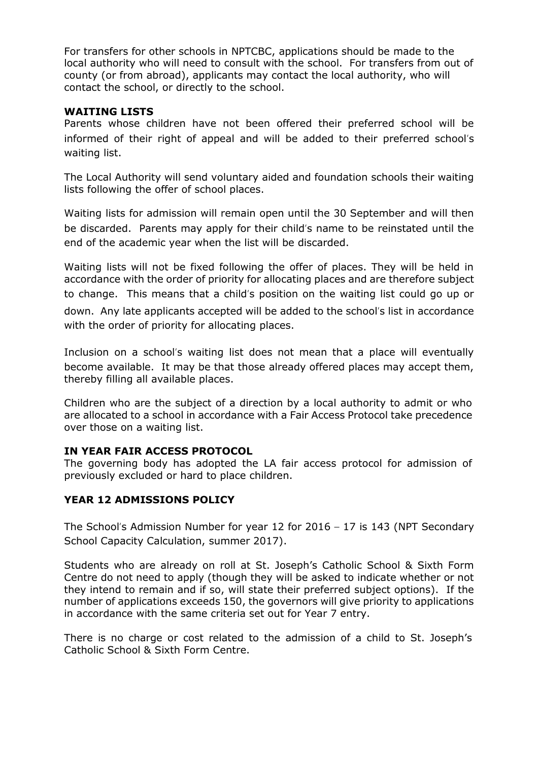For transfers for other schools in NPTCBC, applications should be made to the local authority who will need to consult with the school. For transfers from out of county (or from abroad), applicants may contact the local authority, who will contact the school, or directly to the school.

### **WAITING LISTS**

Parents whose children have not been offered their preferred school will be informed of their right of appeal and will be added to their preferred school's waiting list.

The Local Authority will send voluntary aided and foundation schools their waiting lists following the offer of school places.

Waiting lists for admission will remain open until the 30 September and will then be discarded. Parents may apply for their child's name to be reinstated until the end of the academic year when the list will be discarded.

Waiting lists will not be fixed following the offer of places. They will be held in accordance with the order of priority for allocating places and are therefore subject to change. This means that a child's position on the waiting list could go up or down. Any late applicants accepted will be added to the school's list in accordance with the order of priority for allocating places.

Inclusion on a school's waiting list does not mean that a place will eventually become available. It may be that those already offered places may accept them, thereby filling all available places.

Children who are the subject of a direction by a local authority to admit or who are allocated to a school in accordance with a Fair Access Protocol take precedence over those on a waiting list.

## **IN YEAR FAIR ACCESS PROTOCOL**

The governing body has adopted the LA fair access protocol for admission of previously excluded or hard to place children.

## **YEAR 12 ADMISSIONS POLICY**

The School's Admission Number for year 12 for 2016 – 17 is 143 (NPT Secondary School Capacity Calculation, summer 2017).

Students who are already on roll at St. Joseph's Catholic School & Sixth Form Centre do not need to apply (though they will be asked to indicate whether or not they intend to remain and if so, will state their preferred subject options). If the number of applications exceeds 150, the governors will give priority to applications in accordance with the same criteria set out for Year 7 entry.

There is no charge or cost related to the admission of a child to St. Joseph's Catholic School & Sixth Form Centre.